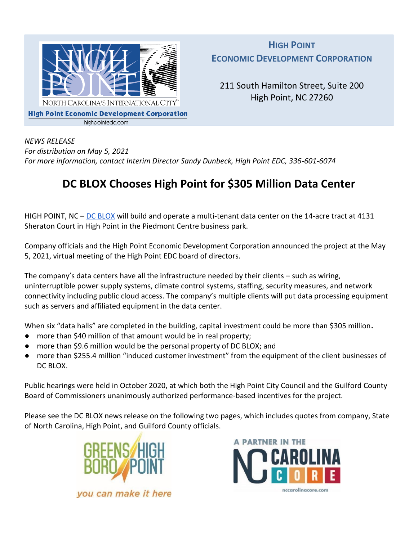

**HIGH POINT ECONOMIC DEVELOPMENT CORPORATION**

211 South Hamilton Street, Suite 200 High Point, NC 27260

*NEWS RELEASE For distribution on May 5, 2021 For more information, contact Interim Director Sandy Dunbeck, High Point EDC, 336-601-6074*

## **DC BLOX Chooses High Point for \$305 Million Data Center**

HIGH POINT, NC – [DC BLOX](http://www.dcblox.com/) will build and operate a multi-tenant data center on the 14-acre tract at 4131 Sheraton Court in High Point in the Piedmont Centre business park.

Company officials and the High Point Economic Development Corporation announced the project at the May 5, 2021, virtual meeting of the High Point EDC board of directors.

The company's data centers have all the infrastructure needed by their clients – such as wiring, uninterruptible power supply systems, climate control systems, staffing, security measures, and network connectivity including public cloud access. The company's multiple clients will put data processing equipment such as servers and affiliated equipment in the data center.

When six "data halls" are completed in the building, capital investment could be more than \$305 million**.** 

- more than \$40 million of that amount would be in real property;
- more than \$9.6 million would be the personal property of DC BLOX; and
- more than \$255.4 million "induced customer investment" from the equipment of the client businesses of DC BLOX.

Public hearings were held in October 2020, at which both the High Point City Council and the Guilford County Board of Commissioners unanimously authorized performance-based incentives for the project.

Please see the DC BLOX news release on the following two pages, which includes quotes from company, State of North Carolina, High Point, and Guilford County officials.





you can make it here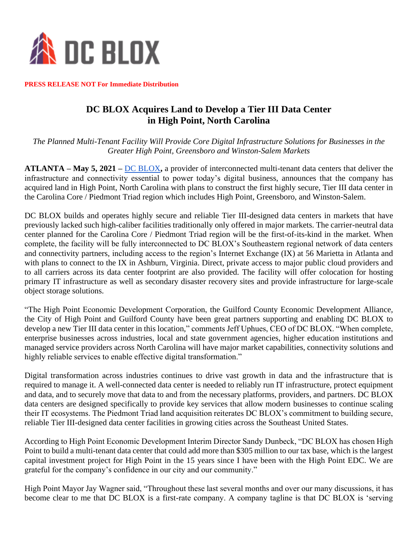

**PRESS RELEASE NOT For Immediate Distribution** 

## **DC BLOX Acquires Land to Develop a Tier III Data Center in High Point, North Carolina**

*The Planned Multi-Tenant Facility Will Provide Core Digital Infrastructure Solutions for Businesses in the Greater High Point, Greensboro and Winston-Salem Markets* 

**ATLANTA – May 5, 2021 –** [DC BLOX](https://www.dcblox.com/)**,** a provider of interconnected multi-tenant data centers that deliver the infrastructure and connectivity essential to power today's digital business, announces that the company has acquired land in High Point, North Carolina with plans to construct the first highly secure, Tier III data center in the Carolina Core / Piedmont Triad region which includes High Point, Greensboro, and Winston-Salem.

DC BLOX builds and operates highly secure and reliable Tier III-designed data centers in markets that have previously lacked such high-caliber facilities traditionally only offered in major markets. The carrier-neutral data center planned for the Carolina Core / Piedmont Triad region will be the first-of-its-kind in the market. When complete, the facility will be fully interconnected to DC BLOX's Southeastern regional network of data centers and connectivity partners, including access to the region's Internet Exchange (IX) at 56 Marietta in Atlanta and with plans to connect to the IX in Ashburn, Virginia. Direct, private access to major public cloud providers and to all carriers across its data center footprint are also provided. The facility will offer colocation for hosting primary IT infrastructure as well as secondary disaster recovery sites and provide infrastructure for large-scale object storage solutions.

"The High Point Economic Development Corporation, the Guilford County Economic Development Alliance, the City of High Point and Guilford County have been great partners supporting and enabling DC BLOX to develop a new Tier III data center in this location," comments Jeff Uphues, CEO of DC BLOX. "When complete, enterprise businesses across industries, local and state government agencies, higher education institutions and managed service providers across North Carolina will have major market capabilities, connectivity solutions and highly reliable services to enable effective digital transformation."

Digital transformation across industries continues to drive vast growth in data and the infrastructure that is required to manage it. A well-connected data center is needed to reliably run IT infrastructure, protect equipment and data, and to securely move that data to and from the necessary platforms, providers, and partners. DC BLOX data centers are designed specifically to provide key services that allow modern businesses to continue scaling their IT ecosystems. The Piedmont Triad land acquisition reiterates DC BLOX's commitment to building secure, reliable Tier III-designed data center facilities in growing cities across the Southeast United States.

According to High Point Economic Development Interim Director Sandy Dunbeck, "DC BLOX has chosen High Point to build a multi-tenant data center that could add more than \$305 million to our tax base, which is the largest capital investment project for High Point in the 15 years since I have been with the High Point EDC. We are grateful for the company's confidence in our city and our community."

High Point Mayor Jay Wagner said, "Throughout these last several months and over our many discussions, it has become clear to me that DC BLOX is a first-rate company. A company tagline is that DC BLOX is 'serving